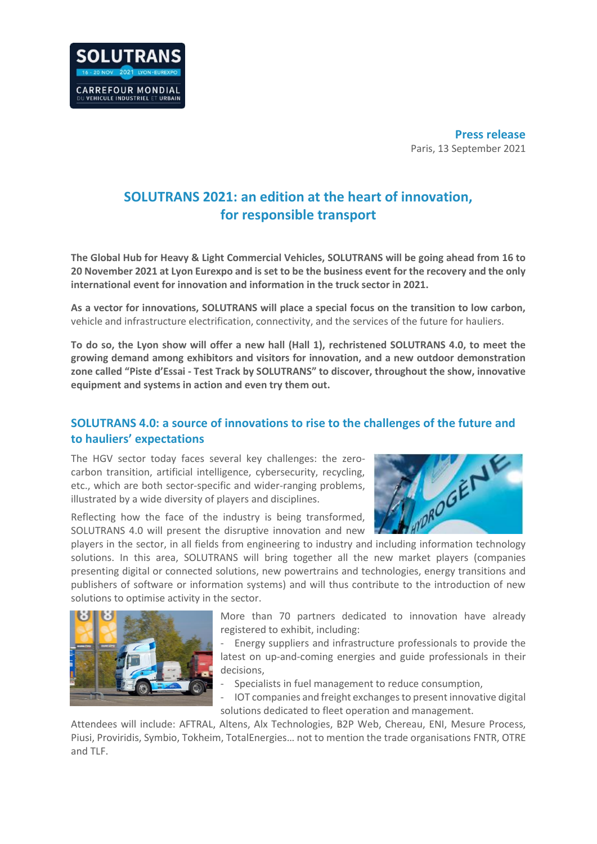

**Press release** Paris, 13 September 2021

# **SOLUTRANS 2021: an edition at the heart of innovation, for responsible transport**

**The Global Hub for Heavy & Light Commercial Vehicles, SOLUTRANS will be going ahead from 16 to 20 November 2021 at Lyon Eurexpo and is set to be the business event for the recovery and the only international event for innovation and information in the truck sector in 2021.** 

**As a vector for innovations, SOLUTRANS will place a special focus on the transition to low carbon,**  vehicle and infrastructure electrification, connectivity, and the services of the future for hauliers.

**To do so, the Lyon show will offer a new hall (Hall 1), rechristened SOLUTRANS 4.0, to meet the growing demand among exhibitors and visitors for innovation, and a new outdoor demonstration zone called "Piste d'Essai - Test Track by SOLUTRANS" to discover, throughout the show, innovative equipment and systems in action and even try them out.**

## **SOLUTRANS 4.0: a source of innovations to rise to the challenges of the future and to hauliers' expectations**

The HGV sector today faces several key challenges: the zerocarbon transition, artificial intelligence, cybersecurity, recycling, etc., which are both sector-specific and wider-ranging problems, illustrated by a wide diversity of players and disciplines.

Reflecting how the face of the industry is being transformed, SOLUTRANS 4.0 will present the disruptive innovation and new

players in the sector, in all fields from engineering to industry and including information technology solutions. In this area, SOLUTRANS will bring together all the new market players (companies presenting digital or connected solutions, new powertrains and technologies, energy transitions and publishers of software or information systems) and will thus contribute to the introduction of new solutions to optimise activity in the sector.



More than 70 partners dedicated to innovation have already registered to exhibit, including:

- Energy suppliers and infrastructure professionals to provide the latest on up-and-coming energies and guide professionals in their decisions,

Specialists in fuel management to reduce consumption,

- IOT companies and freight exchanges to present innovative digital solutions dedicated to fleet operation and management.

Attendees will include: AFTRAL, Altens, Alx Technologies, B2P Web, Chereau, ENI, Mesure Process, Piusi, Proviridis, Symbio, Tokheim, TotalEnergies… not to mention the trade organisations FNTR, OTRE and TLF.